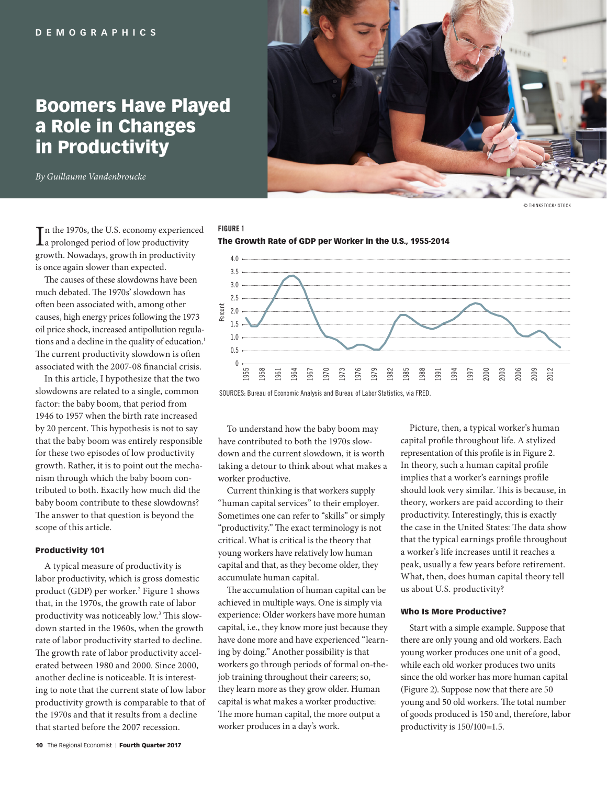# Boomers Have Played a Role in Changes in Productivity

*By Guillaume Vandenbroucke*



© THINKSTOCK/ISTOCK

In the 1970s, the U.S. economy experient a prolonged period of low productivity n the 1970s, the U.S. economy experienced growth. Nowadays, growth in productivity is once again slower than expected.

The causes of these slowdowns have been much debated. The 1970s' slowdown has often been associated with, among other causes, high energy prices following the 1973 oil price shock, increased antipollution regulations and a decline in the quality of education.<sup>1</sup> The current productivity slowdown is often associated with the 2007-08 financial crisis.

In this article, I hypothesize that the two slowdowns are related to a single, common factor: the baby boom, that period from 1946 to 1957 when the birth rate increased by 20 percent. This hypothesis is not to say that the baby boom was entirely responsible for these two episodes of low productivity growth. Rather, it is to point out the mechanism through which the baby boom contributed to both. Exactly how much did the baby boom contribute to these slowdowns? The answer to that question is beyond the scope of this article.

## Productivity 101

A typical measure of productivity is labor productivity, which is gross domestic product (GDP) per worker.<sup>2</sup> Figure 1 shows that, in the 1970s, the growth rate of labor productivity was noticeably low.<sup>3</sup> This slowdown started in the 1960s, when the growth rate of labor productivity started to decline. The growth rate of labor productivity accelerated between 1980 and 2000. Since 2000, another decline is noticeable. It is interesting to note that the current state of low labor productivity growth is comparable to that of the 1970s and that it results from a decline that started before the 2007 recession.

# **FIGURE 1**



SOURCES: Bureau of Economic Analysis and Bureau of Labor Statistics, via FRED.

To understand how the baby boom may have contributed to both the 1970s slowdown and the current slowdown, it is worth taking a detour to think about what makes a worker productive.

Current thinking is that workers supply "human capital services" to their employer. Sometimes one can refer to "skills" or simply "productivity." The exact terminology is not critical. What is critical is the theory that young workers have relatively low human capital and that, as they become older, they accumulate human capital.

The accumulation of human capital can be achieved in multiple ways. One is simply via experience: Older workers have more human capital, i.e., they know more just because they have done more and have experienced "learning by doing." Another possibility is that workers go through periods of formal on-thejob training throughout their careers; so, they learn more as they grow older. Human capital is what makes a worker productive: The more human capital, the more output a worker produces in a day's work.

Picture, then, a typical worker's human capital profile throughout life. A stylized representation of this profile is in Figure 2. In theory, such a human capital profile implies that a worker's earnings profile should look very similar. This is because, in theory, workers are paid according to their productivity. Interestingly, this is exactly the case in the United States: The data show that the typical earnings profile throughout a worker's life increases until it reaches a peak, usually a few years before retirement. What, then, does human capital theory tell us about U.S. productivity?

### Who Is More Productive?

Start with a simple example. Suppose that there are only young and old workers. Each young worker produces one unit of a good, while each old worker produces two units since the old worker has more human capital (Figure 2). Suppose now that there are 50 young and 50 old workers. The total number of goods produced is 150 and, therefore, labor productivity is 150/100=1.5.